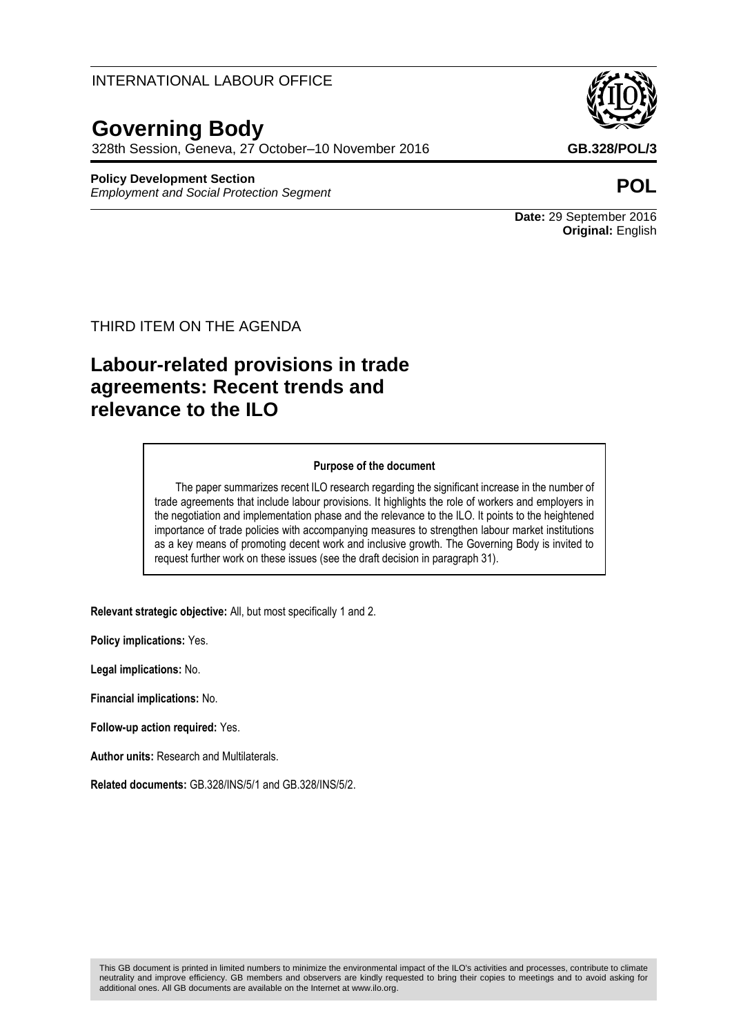### INTERNATIONAL LABOUR OFFICE

# **Governing Body**

328th Session, Geneva, 27 October–10 November 2016 **GB.328/POL/3**

#### **Policy Development Section**

*Employment and Social Protection Segment* **POL**



**Date:** 29 September 2016 **Original:** English

#### THIRD ITEM ON THE AGENDA

## **Labour-related provisions in trade agreements: Recent trends and relevance to the ILO**

#### **Purpose of the document**

The paper summarizes recent ILO research regarding the significant increase in the number of trade agreements that include labour provisions. It highlights the role of workers and employers in the negotiation and implementation phase and the relevance to the ILO. It points to the heightened importance of trade policies with accompanying measures to strengthen labour market institutions as a key means of promoting decent work and inclusive growth. The Governing Body is invited to request further work on these issues (see the draft decision in paragraph 31).

**Relevant strategic objective:** All, but most specifically 1 and 2.

**Policy implications:** Yes.

**Legal implications:** No.

**Financial implications:** No.

**Follow-up action required:** Yes.

**Author units:** Research and Multilaterals.

**Related documents:** GB.328/INS/5/1 and GB.328/INS/5/2.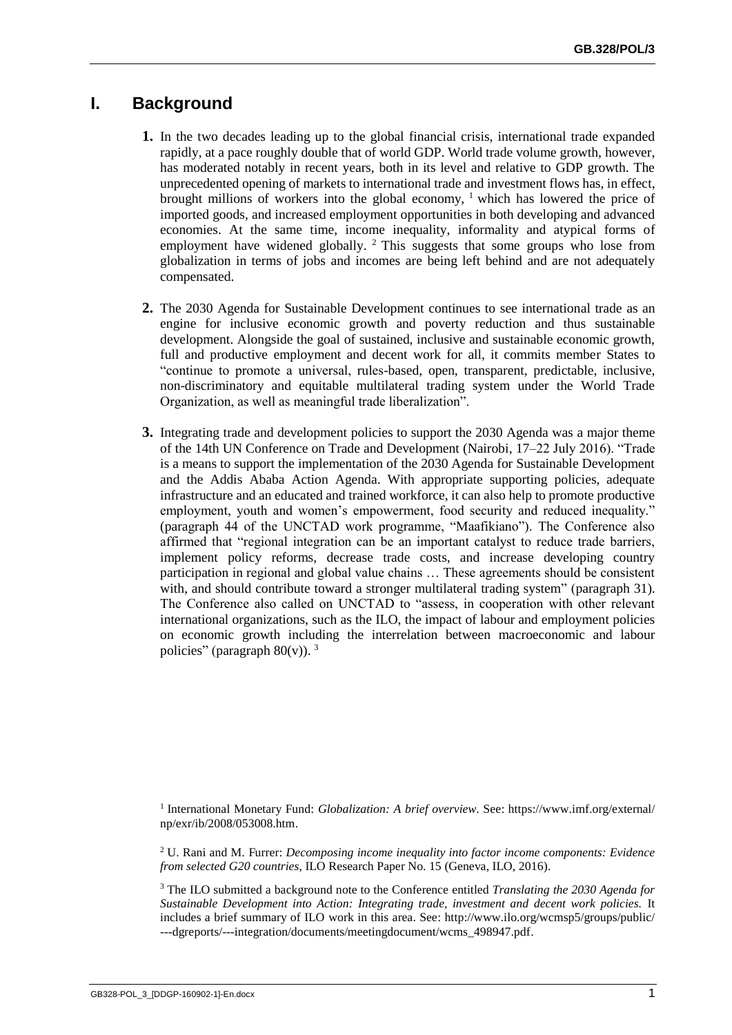## **I. Background**

- **1.** In the two decades leading up to the global financial crisis, international trade expanded rapidly, at a pace roughly double that of world GDP. World trade volume growth, however, has moderated notably in recent years, both in its level and relative to GDP growth. The unprecedented opening of markets to international trade and investment flows has, in effect, brought millions of workers into the global economy,  $\frac{1}{1}$  which has lowered the price of imported goods, and increased employment opportunities in both developing and advanced economies. At the same time, income inequality, informality and atypical forms of employment have widened globally.  $2$  This suggests that some groups who lose from globalization in terms of jobs and incomes are being left behind and are not adequately compensated.
- **2.** The 2030 Agenda for Sustainable Development continues to see international trade as an engine for inclusive economic growth and poverty reduction and thus sustainable development. Alongside the goal of sustained, inclusive and sustainable economic growth, full and productive employment and decent work for all, it commits member States to "continue to promote a universal, rules-based, open, transparent, predictable, inclusive, non-discriminatory and equitable multilateral trading system under the World Trade Organization, as well as meaningful trade liberalization".
- **3.** Integrating trade and development policies to support the 2030 Agenda was a major theme of the 14th UN Conference on Trade and Development (Nairobi, 17–22 July 2016). "Trade is a means to support the implementation of the 2030 Agenda for Sustainable Development and the Addis Ababa Action Agenda. With appropriate supporting policies, adequate infrastructure and an educated and trained workforce, it can also help to promote productive employment, youth and women's empowerment, food security and reduced inequality." (paragraph 44 of the UNCTAD work programme, "Maafikiano"). The Conference also affirmed that "regional integration can be an important catalyst to reduce trade barriers, implement policy reforms, decrease trade costs, and increase developing country participation in regional and global value chains … These agreements should be consistent with, and should contribute toward a stronger multilateral trading system" (paragraph 31). The Conference also called on UNCTAD to "assess, in cooperation with other relevant international organizations, such as the ILO, the impact of labour and employment policies on economic growth including the interrelation between macroeconomic and labour policies" (paragraph  $80(v)$ ). <sup>3</sup>

<sup>1</sup> International Monetary Fund: *Globalization: A brief overview*. See: [https://www.imf.org/external/](https://outlook.live.com/owa/?viewmodel=ReadMessageItem&ItemID=AQMkADAwATYwMAItYjQzNi1kMzE5LTAwAi0wMAoARgAAAwl0nL6NiQlBis8Rh5zMV0wHAAzVRSHmrJRIgRduWxoV7K8AAAIBDAAAAAzVRSHmrJRIgRduWxoV7K8AAAARXZkSAAAA&wid=5&ispopout=1&path=) [np/exr/ib/2008/053008.htm.](https://outlook.live.com/owa/?viewmodel=ReadMessageItem&ItemID=AQMkADAwATYwMAItYjQzNi1kMzE5LTAwAi0wMAoARgAAAwl0nL6NiQlBis8Rh5zMV0wHAAzVRSHmrJRIgRduWxoV7K8AAAIBDAAAAAzVRSHmrJRIgRduWxoV7K8AAAARXZkSAAAA&wid=5&ispopout=1&path=)

<sup>2</sup> U. Rani and M. Furrer: *Decomposing income inequality into factor income components: Evidence from selected G20 countries*, ILO Research Paper No. 15 (Geneva, ILO, 2016).

<sup>3</sup> The ILO submitted a background note to the Conference entitled *Translating the 2030 Agenda for Sustainable Development into Action: Integrating trade, investment and decent work policies.* It includes a brief summary of ILO work in this area. See: [http://www.ilo.org/wcmsp5/groups/public/](http://www.ilo.org/wcmsp5/groups/public/---dgreports/---integration/documents/meetingdocument/wcms_498947.pdf) [---dgreports/---integration/documents/meetingdocument/wcms\\_498947.pdf.](http://www.ilo.org/wcmsp5/groups/public/---dgreports/---integration/documents/meetingdocument/wcms_498947.pdf)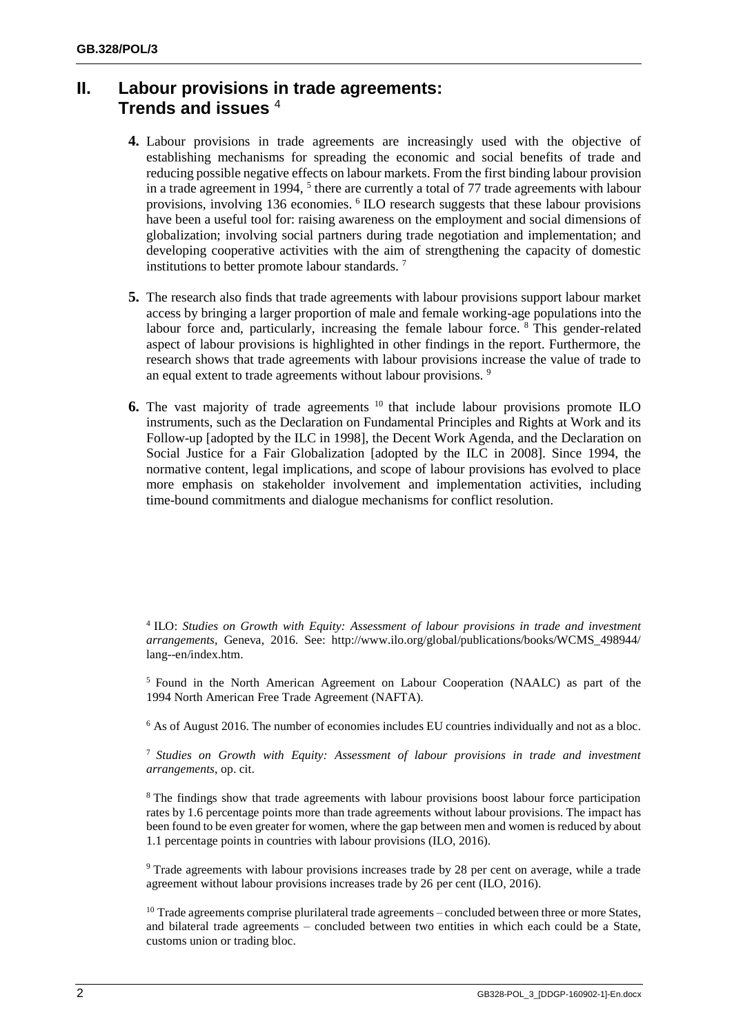## **II. Labour provisions in trade agreements: Trends and issues** <sup>4</sup>

- **4.** Labour provisions in trade agreements are increasingly used with the objective of establishing mechanisms for spreading the economic and social benefits of trade and reducing possible negative effects on labour markets. From the first binding labour provision in a trade agreement in 1994, <sup>5</sup> there are currently a total of 77 trade agreements with labour provisions, involving 136 economies. <sup>6</sup> ILO research suggests that these labour provisions have been a useful tool for: raising awareness on the employment and social dimensions of globalization; involving social partners during trade negotiation and implementation; and developing cooperative activities with the aim of strengthening the capacity of domestic institutions to better promote labour standards. <sup>7</sup>
- **5.** The research also finds that trade agreements with labour provisions support labour market access by bringing a larger proportion of male and female working-age populations into the labour force and, particularly, increasing the female labour force. <sup>8</sup> This gender-related aspect of labour provisions is highlighted in other findings in the report. Furthermore, the research shows that trade agreements with labour provisions increase the value of trade to an equal extent to trade agreements without labour provisions. <sup>9</sup>
- **6.** The vast majority of trade agreements <sup>10</sup> that include labour provisions promote ILO instruments, such as the Declaration on Fundamental Principles and Rights at Work and its Follow-up [adopted by the ILC in 1998], the Decent Work Agenda, and the Declaration on Social Justice for a Fair Globalization [adopted by the ILC in 2008]. Since 1994, the normative content, legal implications, and scope of labour provisions has evolved to place more emphasis on stakeholder involvement and implementation activities, including time-bound commitments and dialogue mechanisms for conflict resolution.

<sup>5</sup> Found in the North American Agreement on Labour Cooperation (NAALC) as part of the 1994 North American Free Trade Agreement (NAFTA).

<sup>6</sup> As of August 2016. The number of economies includes EU countries individually and not as a bloc.

<sup>7</sup> *Studies on Growth with Equity: Assessment of labour provisions in trade and investment arrangements*, op. cit.

<sup>8</sup> The findings show that trade agreements with labour provisions boost labour force participation rates by 1.6 percentage points more than trade agreements without labour provisions. The impact has been found to be even greater for women, where the gap between men and women is reduced by about 1.1 percentage points in countries with labour provisions (ILO, 2016).

<sup>9</sup> Trade agreements with labour provisions increases trade by 28 per cent on average, while a trade agreement without labour provisions increases trade by 26 per cent (ILO, 2016).

<sup>10</sup> Trade agreements comprise plurilateral trade agreements – concluded between three or more States, and bilateral trade agreements – concluded between two entities in which each could be a State, customs union or trading bloc.

<sup>4</sup> ILO: *Studies on Growth with Equity: Assessment of labour provisions in trade and investment arrangements*, Geneva, 2016. See: http://www.ilo.org/global/publications/books/WCMS\_498944/ lang--en/index.htm.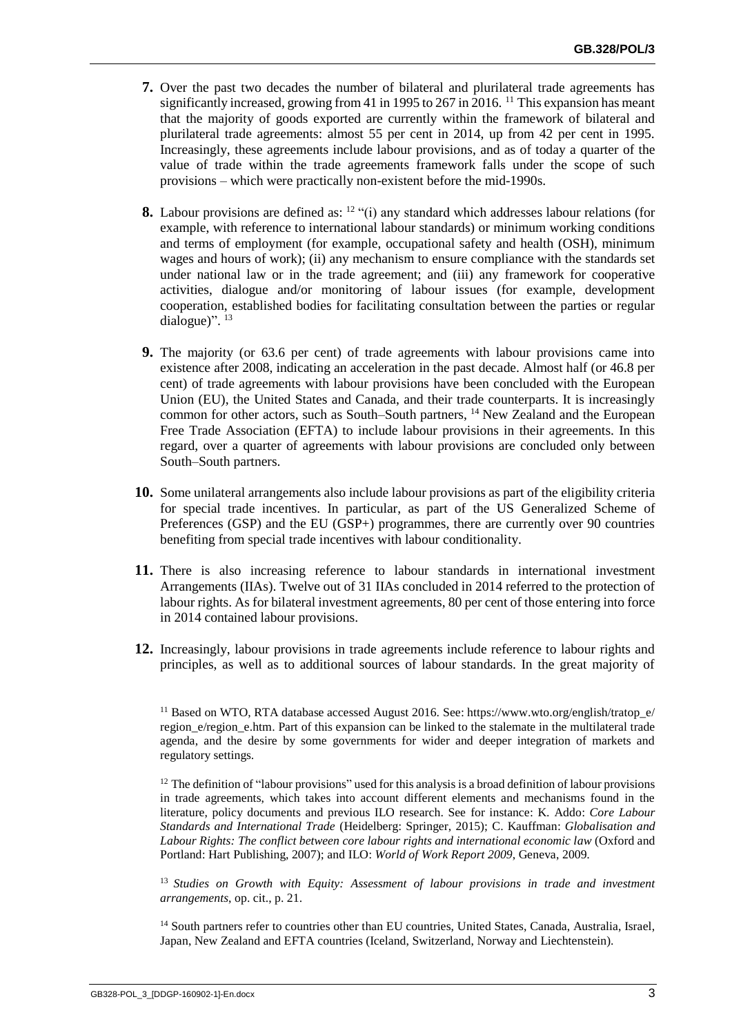- **7.** Over the past two decades the number of bilateral and plurilateral trade agreements has significantly increased, growing from 41 in 1995 to 267 in 2016. <sup>11</sup> This expansion has meant that the majority of goods exported are currently within the framework of bilateral and plurilateral trade agreements: almost 55 per cent in 2014, up from 42 per cent in 1995. Increasingly, these agreements include labour provisions, and as of today a quarter of the value of trade within the trade agreements framework falls under the scope of such provisions – which were practically non-existent before the mid-1990s.
- **8.** Labour provisions are defined as: <sup>12</sup> "(i) any standard which addresses labour relations (for example, with reference to international labour standards) or minimum working conditions and terms of employment (for example, occupational safety and health (OSH), minimum wages and hours of work); (ii) any mechanism to ensure compliance with the standards set under national law or in the trade agreement; and (iii) any framework for cooperative activities, dialogue and/or monitoring of labour issues (for example, development cooperation, established bodies for facilitating consultation between the parties or regular dialogue)". <sup>13</sup>
- **9.** The majority (or 63.6 per cent) of trade agreements with labour provisions came into existence after 2008, indicating an acceleration in the past decade. Almost half (or 46.8 per cent) of trade agreements with labour provisions have been concluded with the European Union (EU), the United States and Canada, and their trade counterparts. It is increasingly common for other actors, such as South–South partners, <sup>14</sup> New Zealand and the European Free Trade Association (EFTA) to include labour provisions in their agreements. In this regard, over a quarter of agreements with labour provisions are concluded only between South–South partners.
- **10.** Some unilateral arrangements also include labour provisions as part of the eligibility criteria for special trade incentives. In particular, as part of the US Generalized Scheme of Preferences (GSP) and the EU (GSP+) programmes, there are currently over 90 countries benefiting from special trade incentives with labour conditionality.
- **11.** There is also increasing reference to labour standards in international investment Arrangements (IIAs). Twelve out of 31 IIAs concluded in 2014 referred to the protection of labour rights. As for bilateral investment agreements, 80 per cent of those entering into force in 2014 contained labour provisions.
- **12.** Increasingly, labour provisions in trade agreements include reference to labour rights and principles, as well as to additional sources of labour standards. In the great majority of

<sup>11</sup> Based on WTO, RTA database accessed August 2016. See: [https://www.wto.org/english/tratop\\_e/](https://www.wto.org/english/tratop_e/region_e/region_e.htm) [region\\_e/region\\_e.htm.](https://www.wto.org/english/tratop_e/region_e/region_e.htm) Part of this expansion can be linked to the stalemate in the multilateral trade agenda, and the desire by some governments for wider and deeper integration of markets and regulatory settings.

 $12$  The definition of "labour provisions" used for this analysis is a broad definition of labour provisions in trade agreements, which takes into account different elements and mechanisms found in the literature, policy documents and previous ILO research. See for instance: K. Addo: *Core Labour Standards and International Trade* (Heidelberg: Springer, 2015); C. Kauffman: *Globalisation and Labour Rights: The conflict between core labour rights and international economic law* (Oxford and Portland: Hart Publishing, 2007); and ILO: *World of Work Report 2009*, Geneva, 2009*.*

<sup>13</sup> *Studies on Growth with Equity: Assessment of labour provisions in trade and investment arrangements*, op. cit., p. 21.

<sup>14</sup> South partners refer to countries other than EU countries, United States, Canada, Australia, Israel, Japan, New Zealand and EFTA countries (Iceland, Switzerland, Norway and Liechtenstein).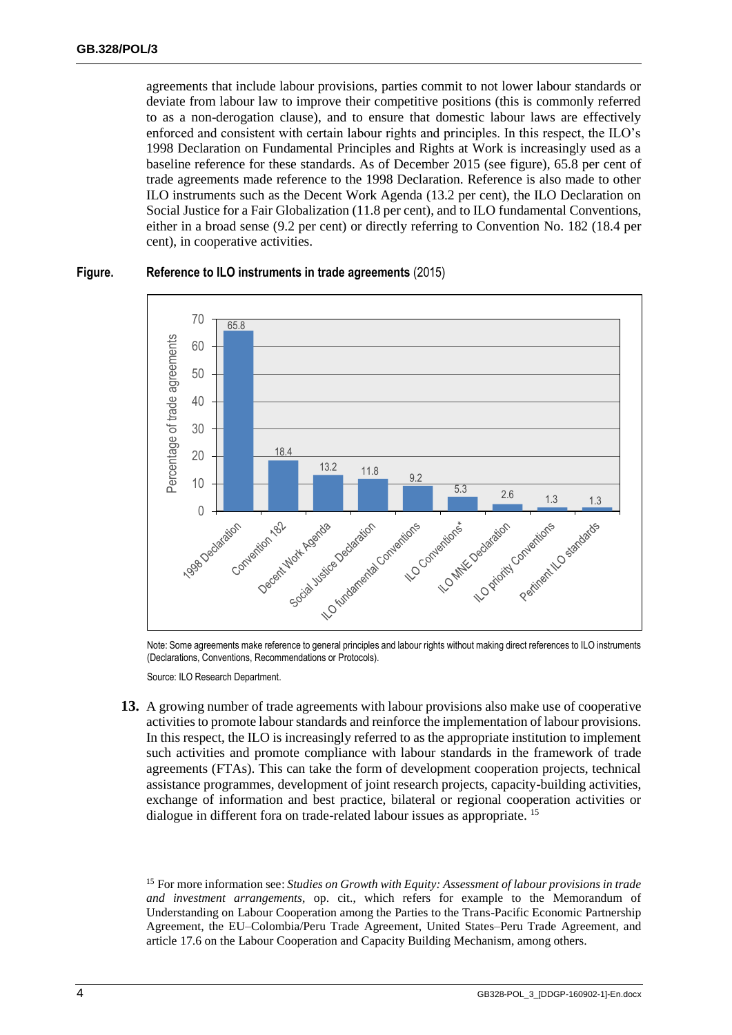agreements that include labour provisions, parties commit to not lower labour standards or deviate from labour law to improve their competitive positions (this is commonly referred to as a non-derogation clause), and to ensure that domestic labour laws are effectively enforced and consistent with certain labour rights and principles. In this respect, the ILO's 1998 Declaration on Fundamental Principles and Rights at Work is increasingly used as a baseline reference for these standards. As of December 2015 (see figure), 65.8 per cent of trade agreements made reference to the 1998 Declaration. Reference is also made to other ILO instruments such as the Decent Work Agenda (13.2 per cent), the ILO Declaration on Social Justice for a Fair Globalization (11.8 per cent), and to ILO fundamental Conventions, either in a broad sense (9.2 per cent) or directly referring to Convention No. 182 (18.4 per cent), in cooperative activities.



#### **Figure. Reference to ILO instruments in trade agreements** (2015)

Note: Some agreements make reference to general principles and labour rights without making direct references to ILO instruments (Declarations, Conventions, Recommendations or Protocols).

Source: ILO Research Department.

**13.** A growing number of trade agreements with labour provisions also make use of cooperative activities to promote labour standards and reinforce the implementation of labour provisions. In this respect, the ILO is increasingly referred to as the appropriate institution to implement such activities and promote compliance with labour standards in the framework of trade agreements (FTAs). This can take the form of development cooperation projects, technical assistance programmes, development of joint research projects, capacity-building activities, exchange of information and best practice, bilateral or regional cooperation activities or dialogue in different fora on trade-related labour issues as appropriate. <sup>15</sup>

<sup>15</sup> For more information see: *Studies on Growth with Equity: Assessment of labour provisions in trade and investment arrangements*, op. cit., which refers for example to the Memorandum of Understanding on Labour Cooperation among the Parties to the Trans-Pacific Economic Partnership Agreement, the EU–Colombia/Peru Trade Agreement, United States–Peru Trade Agreement, and article 17.6 on the Labour Cooperation and Capacity Building Mechanism, among others.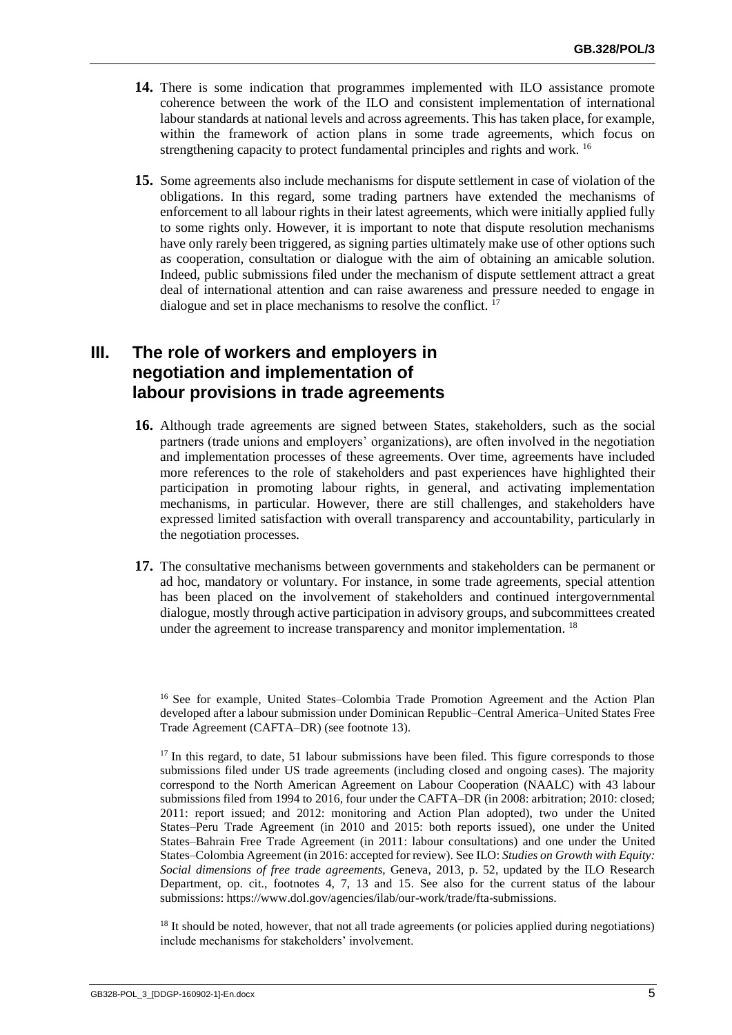- **14.** There is some indication that programmes implemented with ILO assistance promote coherence between the work of the ILO and consistent implementation of international labour standards at national levels and across agreements. This has taken place, for example, within the framework of action plans in some trade agreements, which focus on strengthening capacity to protect fundamental principles and rights and work. <sup>16</sup>
- **15.** Some agreements also include mechanisms for dispute settlement in case of violation of the obligations. In this regard, some trading partners have extended the mechanisms of enforcement to all labour rights in their latest agreements, which were initially applied fully to some rights only. However, it is important to note that dispute resolution mechanisms have only rarely been triggered, as signing parties ultimately make use of other options such as cooperation, consultation or dialogue with the aim of obtaining an amicable solution. Indeed, public submissions filed under the mechanism of dispute settlement attract a great deal of international attention and can raise awareness and pressure needed to engage in dialogue and set in place mechanisms to resolve the conflict.<sup>17</sup>

## **III. The role of workers and employers in negotiation and implementation of labour provisions in trade agreements**

- **16.** Although trade agreements are signed between States, stakeholders, such as the social partners (trade unions and employers' organizations), are often involved in the negotiation and implementation processes of these agreements. Over time, agreements have included more references to the role of stakeholders and past experiences have highlighted their participation in promoting labour rights, in general, and activating implementation mechanisms, in particular. However, there are still challenges, and stakeholders have expressed limited satisfaction with overall transparency and accountability, particularly in the negotiation processes.
- **17.** The consultative mechanisms between governments and stakeholders can be permanent or ad hoc, mandatory or voluntary. For instance, in some trade agreements, special attention has been placed on the involvement of stakeholders and continued intergovernmental dialogue, mostly through active participation in advisory groups, and subcommittees created under the agreement to increase transparency and monitor implementation. <sup>18</sup>

 $18$  It should be noted, however, that not all trade agreements (or policies applied during negotiations) include mechanisms for stakeholders' involvement.

<sup>&</sup>lt;sup>16</sup> See for example, United States-Colombia Trade Promotion Agreement and the Action Plan developed after a labour submission under Dominican Republic–Central America–United States Free Trade Agreement (CAFTA–DR) (see footnote 13).

<sup>&</sup>lt;sup>17</sup> In this regard, to date, 51 labour submissions have been filed. This figure corresponds to those submissions filed under US trade agreements (including closed and ongoing cases). The majority correspond to the North American Agreement on Labour Cooperation (NAALC) with 43 labour submissions filed from 1994 to 2016, four under the CAFTA–DR (in 2008: arbitration; 2010: closed; 2011: report issued; and 2012: monitoring and Action Plan adopted), two under the United States–Peru Trade Agreement (in 2010 and 2015: both reports issued), one under the United States–Bahrain Free Trade Agreement (in 2011: labour consultations) and one under the United States–Colombia Agreement (in 2016: accepted for review). See ILO: *Studies on Growth with Equity: Social dimensions of free trade agreements*, Geneva, 2013, p. 52, updated by the ILO Research Department, op. cit., footnotes 4, 7, 13 and 15. See also for the current status of the labour submissions: https://www.dol.gov/agencies/ilab/our-work/trade/fta-submissions.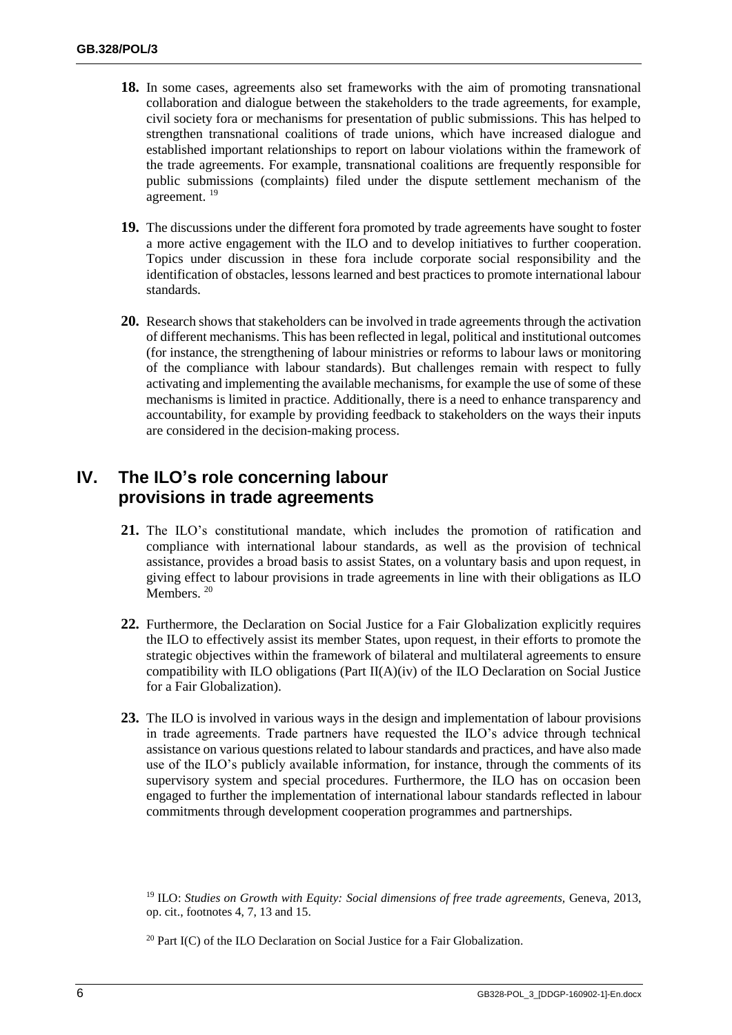- **18.** In some cases, agreements also set frameworks with the aim of promoting transnational collaboration and dialogue between the stakeholders to the trade agreements, for example, civil society fora or mechanisms for presentation of public submissions. This has helped to strengthen transnational coalitions of trade unions, which have increased dialogue and established important relationships to report on labour violations within the framework of the trade agreements. For example, transnational coalitions are frequently responsible for public submissions (complaints) filed under the dispute settlement mechanism of the agreement. <sup>19</sup>
- **19.** The discussions under the different fora promoted by trade agreements have sought to foster a more active engagement with the ILO and to develop initiatives to further cooperation. Topics under discussion in these fora include corporate social responsibility and the identification of obstacles, lessons learned and best practices to promote international labour standards.
- **20.** Research shows that stakeholders can be involved in trade agreements through the activation of different mechanisms. This has been reflected in legal, political and institutional outcomes (for instance, the strengthening of labour ministries or reforms to labour laws or monitoring of the compliance with labour standards). But challenges remain with respect to fully activating and implementing the available mechanisms, for example the use of some of these mechanisms is limited in practice. Additionally, there is a need to enhance transparency and accountability, for example by providing feedback to stakeholders on the ways their inputs are considered in the decision-making process.

## **IV. The ILO's role concerning labour provisions in trade agreements**

- **21.** The ILO's constitutional mandate, which includes the promotion of ratification and compliance with international labour standards, as well as the provision of technical assistance, provides a broad basis to assist States, on a voluntary basis and upon request, in giving effect to labour provisions in trade agreements in line with their obligations as ILO Members.<sup>20</sup>
- **22.** Furthermore, the Declaration on Social Justice for a Fair Globalization explicitly requires the ILO to effectively assist its member States, upon request, in their efforts to promote the strategic objectives within the framework of bilateral and multilateral agreements to ensure compatibility with ILO obligations (Part II(A)(iv) of the ILO Declaration on Social Justice for a Fair Globalization).
- **23.** The ILO is involved in various ways in the design and implementation of labour provisions in trade agreements. Trade partners have requested the ILO's advice through technical assistance on various questions related to labour standards and practices, and have also made use of the ILO's publicly available information, for instance, through the comments of its supervisory system and special procedures. Furthermore, the ILO has on occasion been engaged to further the implementation of international labour standards reflected in labour commitments through development cooperation programmes and partnerships.

<sup>19</sup> ILO: *Studies on Growth with Equity: Social dimensions of free trade agreements,* Geneva, 2013, op. cit., footnotes 4, 7, 13 and 15.

 $20$  Part I(C) of the ILO Declaration on Social Justice for a Fair Globalization.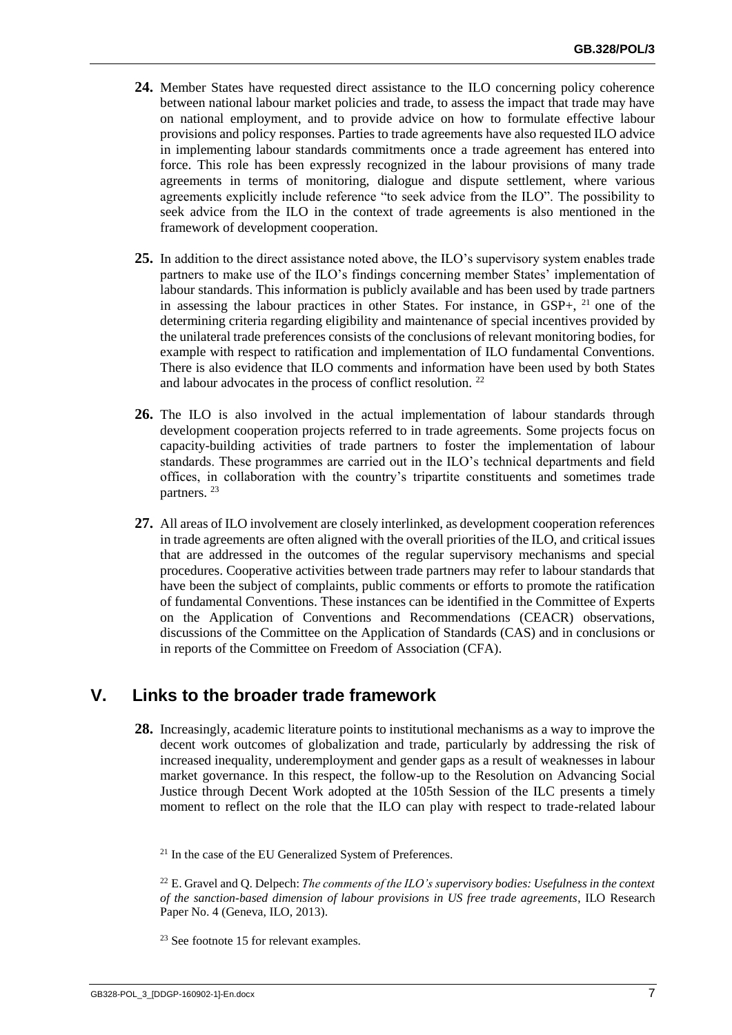- **24.** Member States have requested direct assistance to the ILO concerning policy coherence between national labour market policies and trade, to assess the impact that trade may have on national employment, and to provide advice on how to formulate effective labour provisions and policy responses. Parties to trade agreements have also requested ILO advice in implementing labour standards commitments once a trade agreement has entered into force. This role has been expressly recognized in the labour provisions of many trade agreements in terms of monitoring, dialogue and dispute settlement, where various agreements explicitly include reference "to seek advice from the ILO". The possibility to seek advice from the ILO in the context of trade agreements is also mentioned in the framework of development cooperation.
- **25.** In addition to the direct assistance noted above, the ILO's supervisory system enables trade partners to make use of the ILO's findings concerning member States' implementation of labour standards. This information is publicly available and has been used by trade partners in assessing the labour practices in other States. For instance, in GSP+, <sup>21</sup> one of the determining criteria regarding eligibility and maintenance of special incentives provided by the unilateral trade preferences consists of the conclusions of relevant monitoring bodies, for example with respect to ratification and implementation of ILO fundamental Conventions. There is also evidence that ILO comments and information have been used by both States and labour advocates in the process of conflict resolution. <sup>22</sup>
- **26.** The ILO is also involved in the actual implementation of labour standards through development cooperation projects referred to in trade agreements. Some projects focus on capacity-building activities of trade partners to foster the implementation of labour standards. These programmes are carried out in the ILO's technical departments and field offices, in collaboration with the country's tripartite constituents and sometimes trade partners. <sup>23</sup>
- **27.** All areas of ILO involvement are closely interlinked, as development cooperation references in trade agreements are often aligned with the overall priorities of the ILO, and critical issues that are addressed in the outcomes of the regular supervisory mechanisms and special procedures. Cooperative activities between trade partners may refer to labour standards that have been the subject of complaints, public comments or efforts to promote the ratification of fundamental Conventions. These instances can be identified in the Committee of Experts on the Application of Conventions and Recommendations (CEACR) observations, discussions of the Committee on the Application of Standards (CAS) and in conclusions or in reports of the Committee on Freedom of Association (CFA).

### **V. Links to the broader trade framework**

**28.** Increasingly, academic literature points to institutional mechanisms as a way to improve the decent work outcomes of globalization and trade, particularly by addressing the risk of increased inequality, underemployment and gender gaps as a result of weaknesses in labour market governance. In this respect, the follow-up to the Resolution on Advancing Social Justice through Decent Work adopted at the 105th Session of the ILC presents a timely moment to reflect on the role that the ILO can play with respect to trade-related labour

 $21$  In the case of the EU Generalized System of Preferences.

<sup>22</sup> E. Gravel and Q. Delpech: *The comments of the ILO's supervisory bodies: Usefulness in the context of the sanction-based dimension of labour provisions in US free trade agreements*, ILO Research Paper No. 4 (Geneva, ILO, 2013).

<sup>23</sup> See footnote 15 for relevant examples.